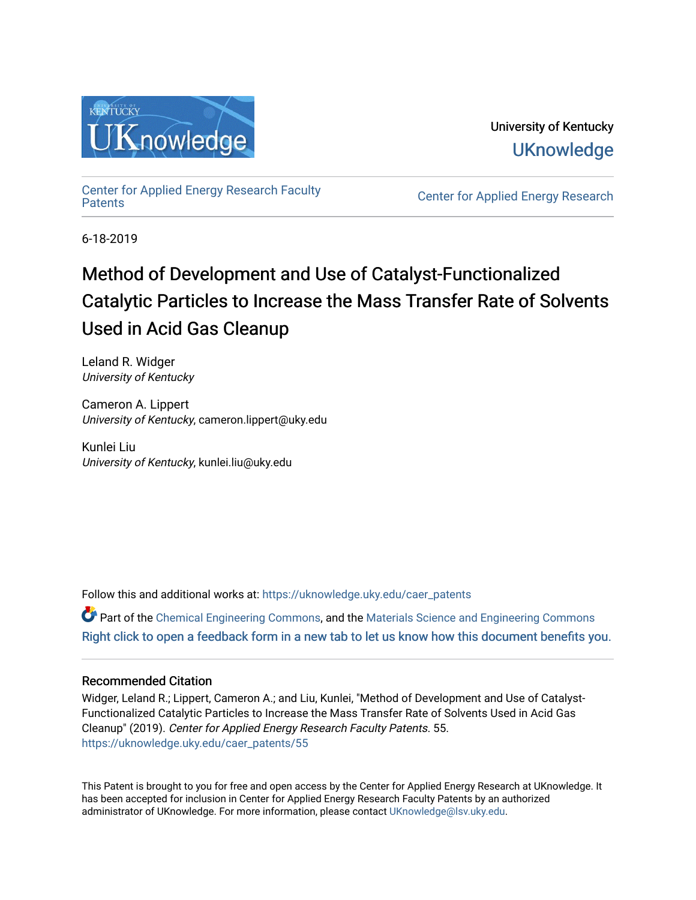

University of Kentucky **UKnowledge** 

[Center for Applied Energy Research Faculty](https://uknowledge.uky.edu/caer_patents)

Center for Applied Energy Research

6-18-2019

# Method of Development and Use of Catalyst-Functionalized Catalytic Particles to Increase the Mass Transfer Rate of Solvents Used in Acid Gas Cleanup

Leland R. Widger University of Kentucky

Cameron A. Lippert University of Kentucky, cameron.lippert@uky.edu

Kunlei Liu University of Kentucky, kunlei.liu@uky.edu

Follow this and additional works at: [https://uknowledge.uky.edu/caer\\_patents](https://uknowledge.uky.edu/caer_patents?utm_source=uknowledge.uky.edu%2Fcaer_patents%2F55&utm_medium=PDF&utm_campaign=PDFCoverPages) 

Part of the [Chemical Engineering Commons](http://network.bepress.com/hgg/discipline/240?utm_source=uknowledge.uky.edu%2Fcaer_patents%2F55&utm_medium=PDF&utm_campaign=PDFCoverPages), and the [Materials Science and Engineering Commons](http://network.bepress.com/hgg/discipline/285?utm_source=uknowledge.uky.edu%2Fcaer_patents%2F55&utm_medium=PDF&utm_campaign=PDFCoverPages)  [Right click to open a feedback form in a new tab to let us know how this document benefits you.](https://uky.az1.qualtrics.com/jfe/form/SV_9mq8fx2GnONRfz7)

# Recommended Citation

Widger, Leland R.; Lippert, Cameron A.; and Liu, Kunlei, "Method of Development and Use of Catalyst-Functionalized Catalytic Particles to Increase the Mass Transfer Rate of Solvents Used in Acid Gas Cleanup" (2019). Center for Applied Energy Research Faculty Patents. 55. [https://uknowledge.uky.edu/caer\\_patents/55](https://uknowledge.uky.edu/caer_patents/55?utm_source=uknowledge.uky.edu%2Fcaer_patents%2F55&utm_medium=PDF&utm_campaign=PDFCoverPages)

This Patent is brought to you for free and open access by the Center for Applied Energy Research at UKnowledge. It has been accepted for inclusion in Center for Applied Energy Research Faculty Patents by an authorized administrator of UKnowledge. For more information, please contact [UKnowledge@lsv.uky.edu](mailto:UKnowledge@lsv.uky.edu).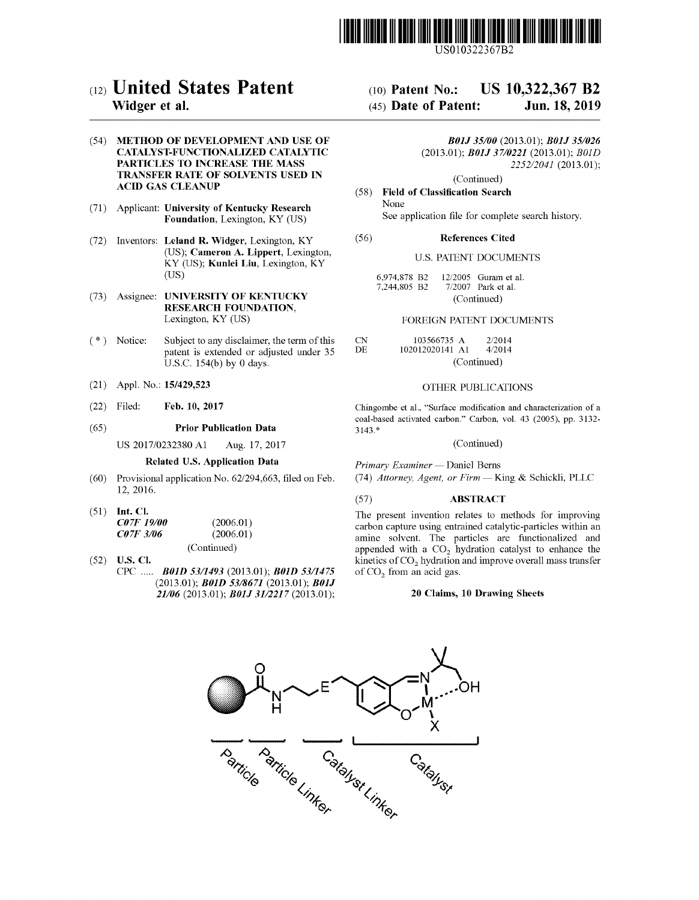

US010322367B2

# c12) **United States Patent**

### **Widger et al.**

(54) METHOD OF DEVELOPMENT AND USE OF **CATALYST-FUNCTIONALIZED CATALYTIC PARTICLES TO INCREASE THE MASS TRANSFER RATE OF SOLVENTS USED IN ACID GAS CLEANUP** 

- (71) Applicant: **University of Kentucky Research Foundation,** Lexington, KY (US)
- (72) Inventors: **Leland R. Widger,** Lexington, KY (US); **Cameron A. Lippert,** Lexington, KY (US); **Kunlei Liu,** Lexington, KY (US)
- (73) Assignee: **UNIVERSITY OF KENTUCKY RESEARCH FOUNDATION,**  Lexington, KY (US)
- $(*)$  Notice: Subject to any disclaimer, the term of this patent is extended or adjusted under 35 U.S.C. 154(b) by O days.
- (21) Appl. No.: **15/429,523**
- (22) Filed: **Feb. 10, 2017**

#### (65) **Prior Publication Data**

US 2017/0232380 Al Aug. 17, 2017

#### **Related U.S. Application Data**

- (60) Provisional application No. 62/294,663, filed on Feb. 12, 2016.
- (51) **Int. Cl.**

| <b>C07F 19/00</b>       | (2006.01)   |
|-------------------------|-------------|
| <i><b>C07F 3/06</b></i> | (2006.01)   |
|                         | (Continued) |

(52) **U.S. Cl.**  CPC ..... *BOID 53/1493* (2013.01); *BOID 5311475*  (2013.01); *BOID 53/8671* (2013.01); *BOJJ 21106* (2013.01); *BOJJ 3112217* (2013.01);

#### (IO) **Patent No.: US 10,322,367 B2**

#### (45) **Date of Patent: Jun.18,2019**

#### *BOJJ 35/00* (2013.01); *BOJJ 351026*  (2013.01); *BOJJ 3710221* (2013.01); *BOID 2252/2041* (2013.01);

(Continued)

#### (58) **Field of Classification Search**  None

See application file for complete search history.

#### (56) **References Cited**

#### U.S. PATENT DOCUMENTS

| 6.974.878 B2 |             | $12/2005$ Guram et al. |  |  |
|--------------|-------------|------------------------|--|--|
| 7,244,805 B2 |             | $7/2007$ Park et al.   |  |  |
|              | (Continued) |                        |  |  |

#### FOREIGN PATENT DOCUMENTS

| -CN | 103566735 A     | 2/2014 |
|-----|-----------------|--------|
| DE. | 102012020141 A1 | 4/2014 |
|     | (Continued)     |        |

#### OTHER PUBLICATIONS

Chingombe et al., "Surface modification and characterization of a coal-based activated carbon." Carbon, vol. 43 (2005), pp. 3132- 3143. \*

(Continued)

*Primary Examiner* - Daniel Berns

(74) *Attorney, Agent, or Firm* - King & Schickli, PLLC

#### (57) **ABSTRACT**

The present invention relates to methods for improving carbon capture using entrained catalytic-particles within an amine solvent. The particles are functionalized and appended with a  $CO<sub>2</sub>$  hydration catalyst to enhance the kinetics of  $CO<sub>2</sub>$  hydration and improve overall mass transfer of  $CO<sub>2</sub>$  from an acid gas.

#### **20 Claims, 10 Drawing Sheets**

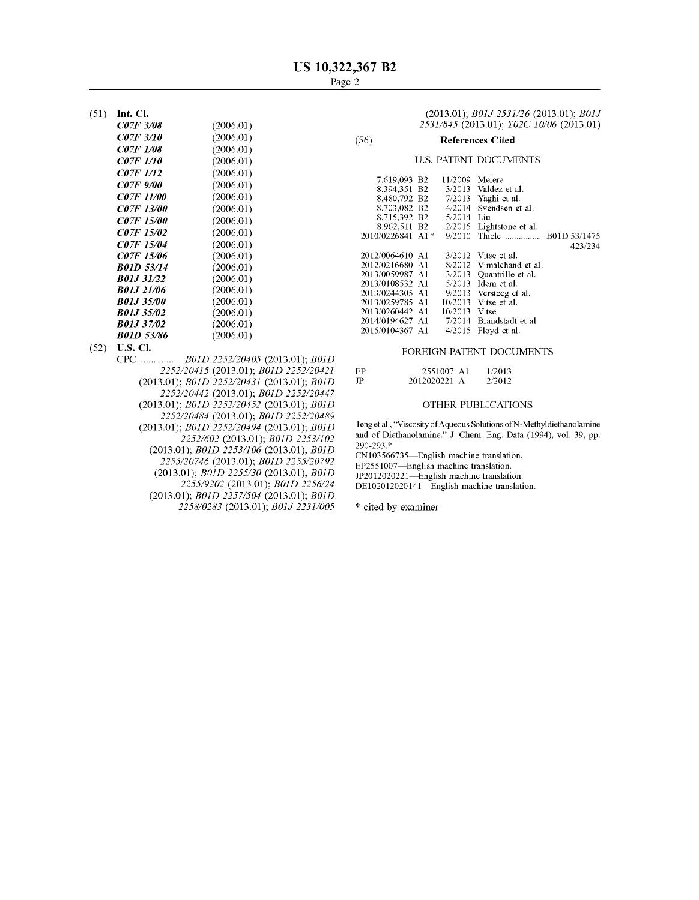(51) **Int. Cl.** 

| <i>C07F 3/08</i>  | (2006.01) |
|-------------------|-----------|
|                   |           |
| <i>C07F 3/10</i>  | (2006.01) |
| <i>CO7F 1/08</i>  | (2006.01) |
| <i>C07F 1/10</i>  | (2006.01) |
| <i>CO7F 1/12</i>  | (2006.01) |
| <i>C07F 9/00</i>  | (2006.01) |
| <i>CO7F 11/00</i> | (2006.01) |
| <i>CO7F 13/00</i> | (2006.01) |
| <i>CO7F 15/00</i> | (2006.01) |
| <i>CO7F 15/02</i> | (2006.01) |
| <i>CO7F 15/04</i> | (2006.01) |
| <i>CO7F 15/06</i> | (2006.01) |
| <i>B01D 53/14</i> | (2006.01) |
| <b>B01J 31/22</b> | (2006.01) |
| B01J 21/06        | (2006.01) |
| <i>B01J 35/00</i> | (2006.01) |
| <b>B01J 35/02</b> | (2006.01) |
| <b>B01J 37/02</b> | (2006.01) |
| B01D 53/86        | (2006.01) |

- - CPC .............. *BOID 2252/20405* (2013.01); *BOID 2252/20415* (2013.01); *BOID 2252/20421*  (2013.01); *BOID 2252/20431* (2013.01); *BOID 2252/20442* (2013.01); *BOID 2252/20447*  (2013.01); *BOID 2252/20452* (2013.01); *BOID 2252/20484* (2013.01); *BOID 2252/20489*  (2013.01); *BOID 2252/20494* (2013.01); *BOID 2252/602* (2013.01); *BOID 2253/102*  (2013.01); *BOID 2253/106* (2013.01); *BOID 2255/20746* (2013.01); *BOID 2255/20792*  (2013.01); *BOID 2255/30* (2013.01); *BOID 2255/9202* (2013.01); *BOID 2256/24*  (2013.01); *BOID 2257/504* (2013.01); *BOID 2258/0283* (2013.01); *BOJJ 2231/005*

(2013.01); *BOJJ 2531/26* (2013.01); *BOJJ 2531/845* (2013.01); *Y02C 10/06* (2013.01)

### (56) **References Cited**

#### U.S. PATENT DOCUMENTS

| 7.619.093 B2     | 11/2009       | Meiere                   |
|------------------|---------------|--------------------------|
| 8,394,351 B2     |               | $3/2013$ Valdez et al.   |
|                  |               |                          |
| 8.480.792 B2     |               | $7/2013$ Yaghi et al.    |
| 8.703.082 B2     | 4/2014        | Svendsen et al.          |
| 8.715.392 B2     | 5/2014 Liu    |                          |
| 8.962.511 B2     | 2/2015        | Lightstone et al.        |
| 2010/0226841 A1* | 9/2010        |                          |
|                  |               | 423/234                  |
| 2012/0064610 A1  |               | $3/2012$ Vitse et al.    |
| 2012/0216680 A1  | 8/2012        | Vimalchand et al.        |
| 2013/0059987 A1  |               | 3/2013 Quantrille et al. |
| 2013/0108532 A1  |               | $5/2013$ Idem et al.     |
| 2013/0244305 A1  |               | 9/2013 Versteeg et al.   |
| 2013/0259785 A1  |               | 10/2013 Vitse et al.     |
| 2013/0260442 A1  | 10/2013 Vitse |                          |
| 2014/0194627 A1  |               | 7/2014 Brandstadt et al. |
| 2015/0104367 A1  | 4/2015        | Floyd et al.             |
|                  |               |                          |

# (52) **U.S. Cl.** FOREIGN PATENT DOCUMENTS

| ЕP | 2551007 A1   | 1/2013 |
|----|--------------|--------|
| JP | 2012020221 A | 2/2012 |

#### OTHER PUBLICATIONS

Teng et al., "Viscosity of Aqueous Solutions of N-Methyldiethanolamine and of Diethanolamine." J. Chem. Eng. Data (1994), vol. 39, pp. 290-293.\*

CN103566735-English machine translation. EP2551007-English machine translation. JP2012020221-English machine translation. DE102012020141-English machine translation.

\* cited by examiner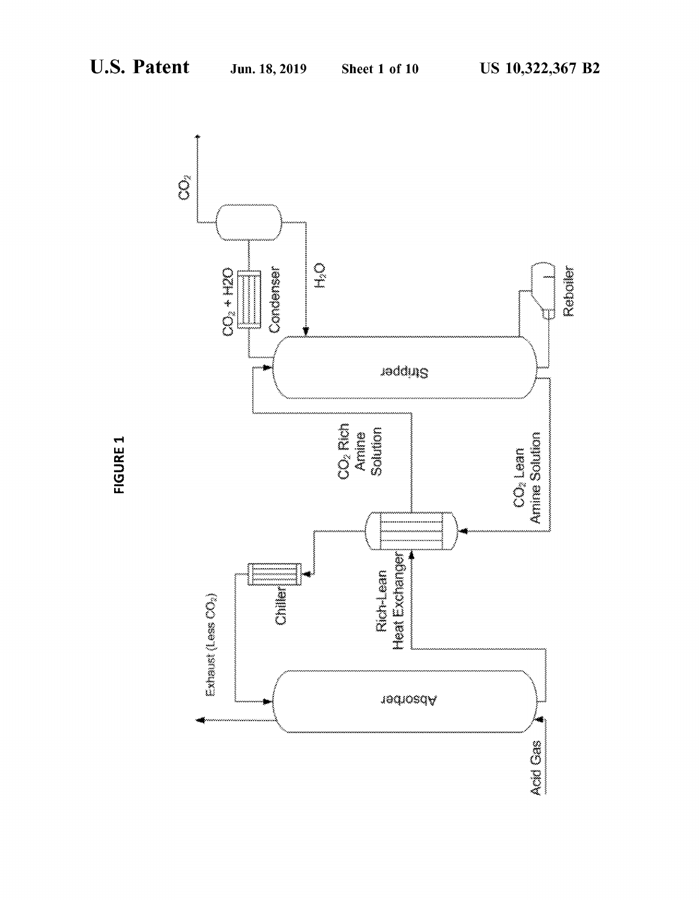

FIGURE 1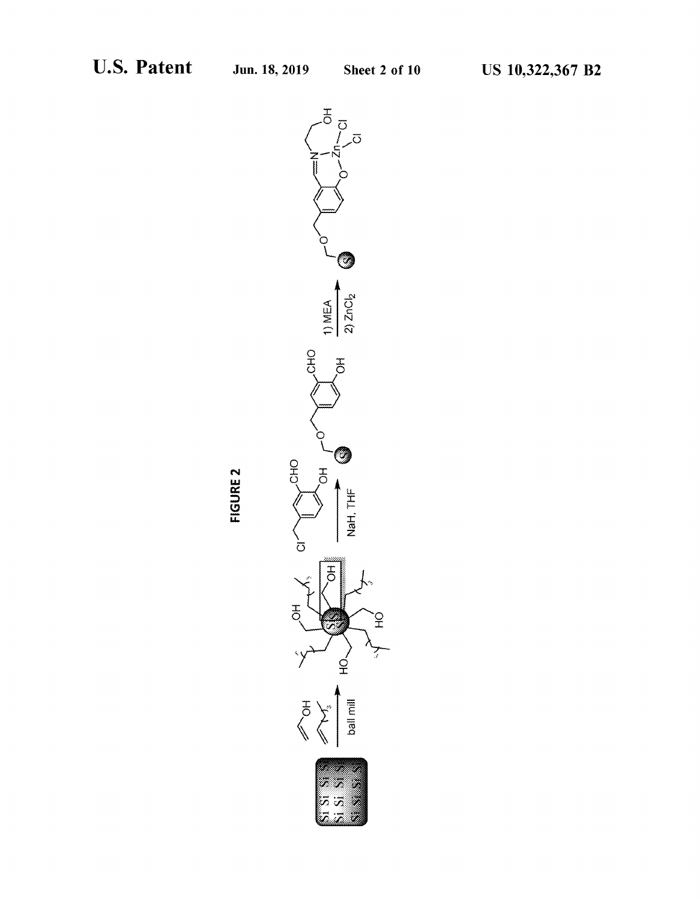

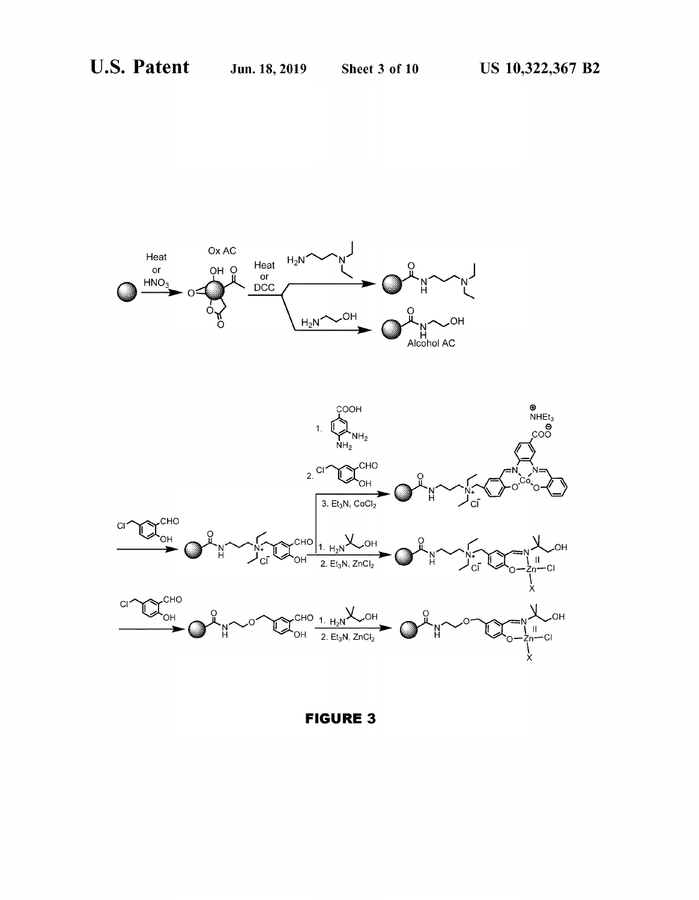



**FIGURE 3**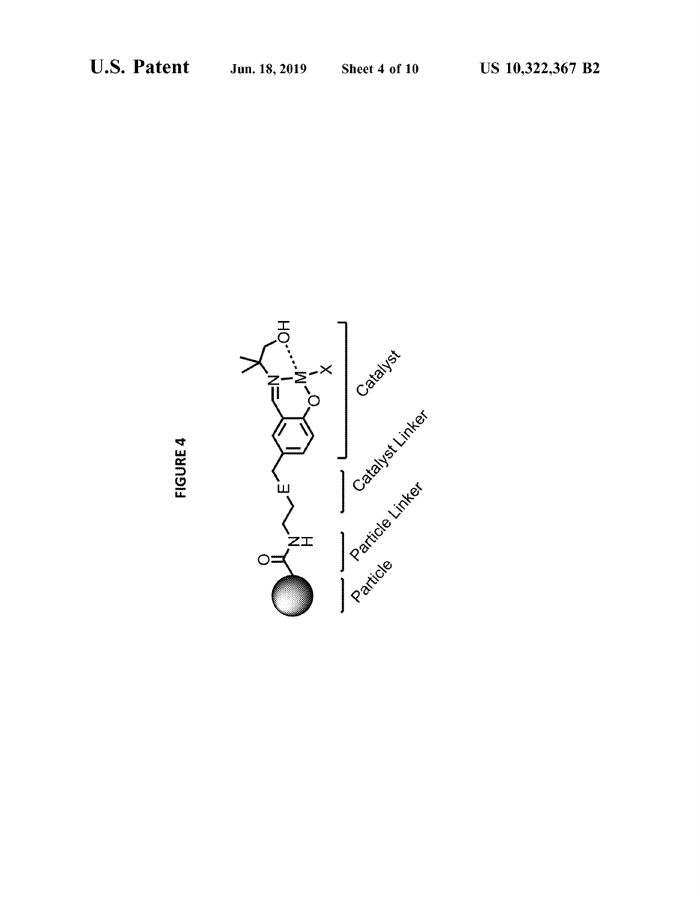

**FIGURE 4**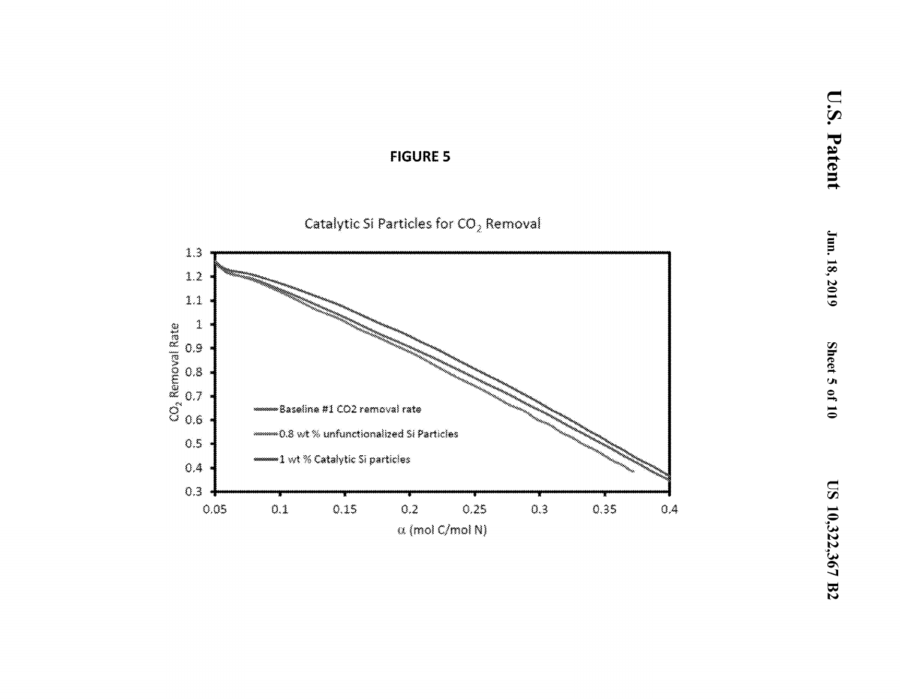**U.S. Patent** 





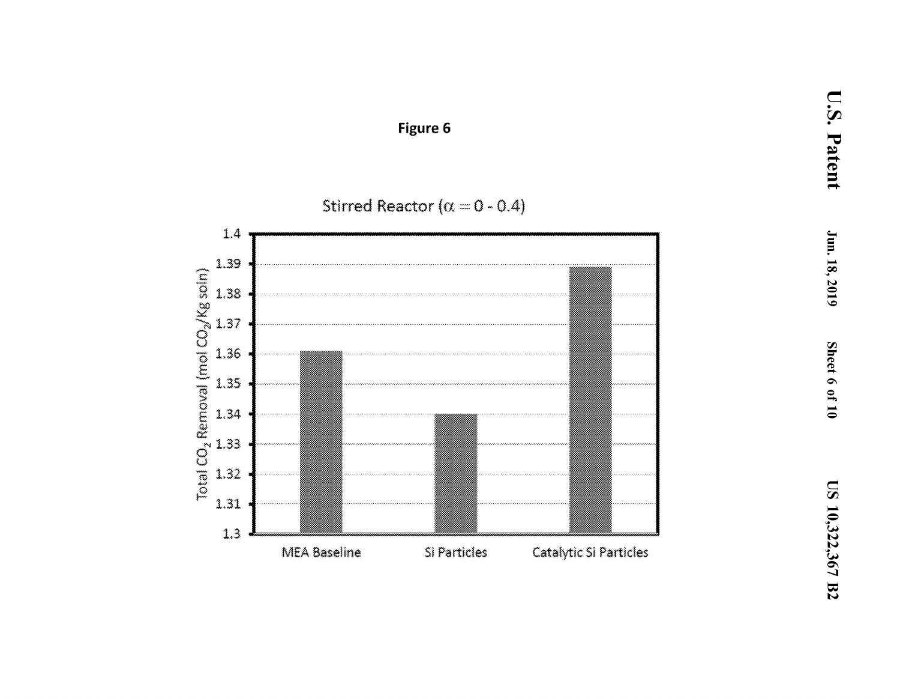

# Figure 6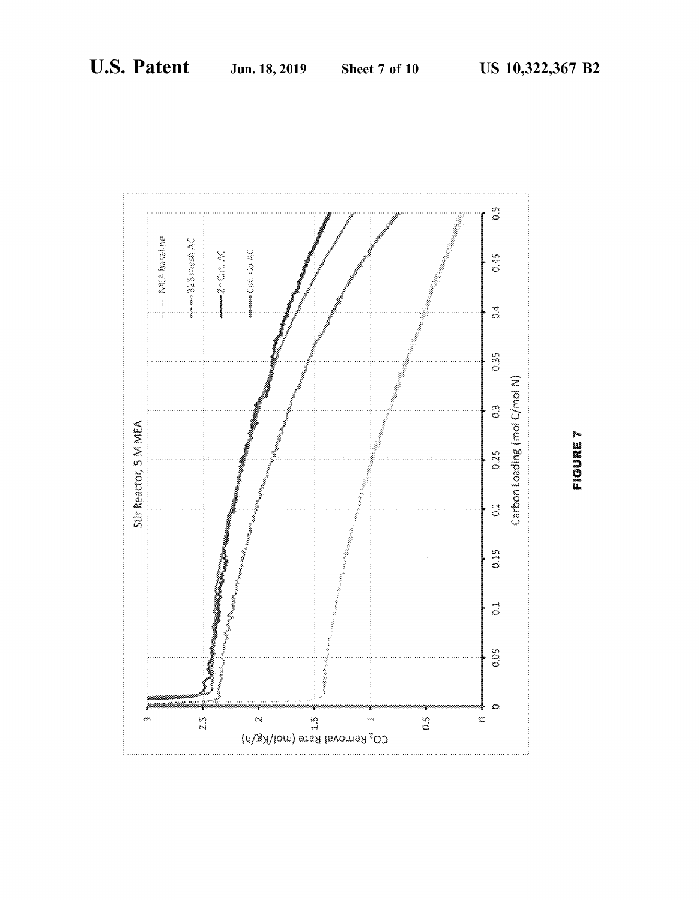

**EIGURE 7**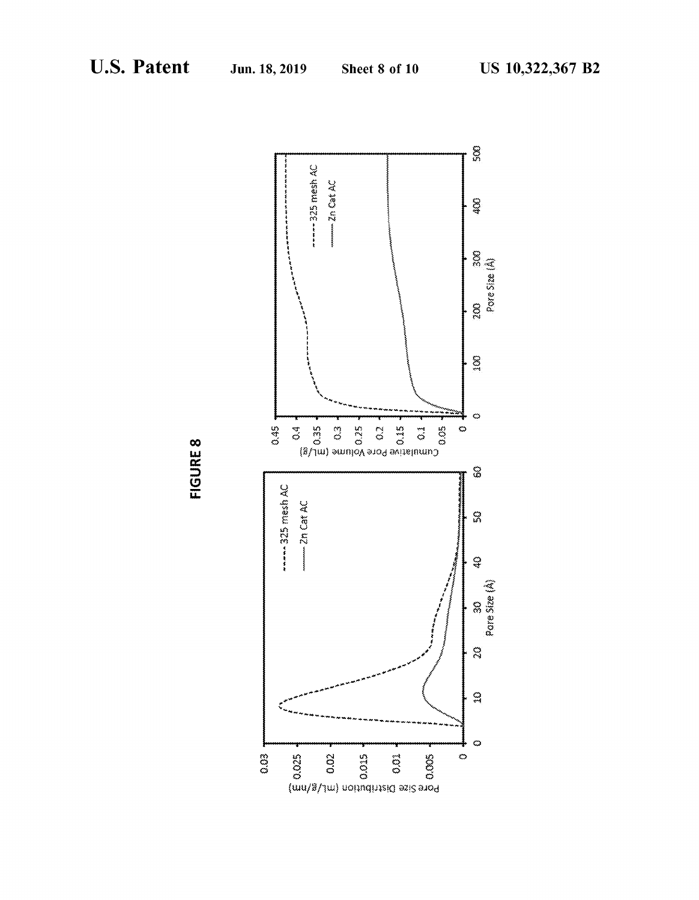

(WU/~/lW) uoq11q!JlS!O ">2!\$ aJOd

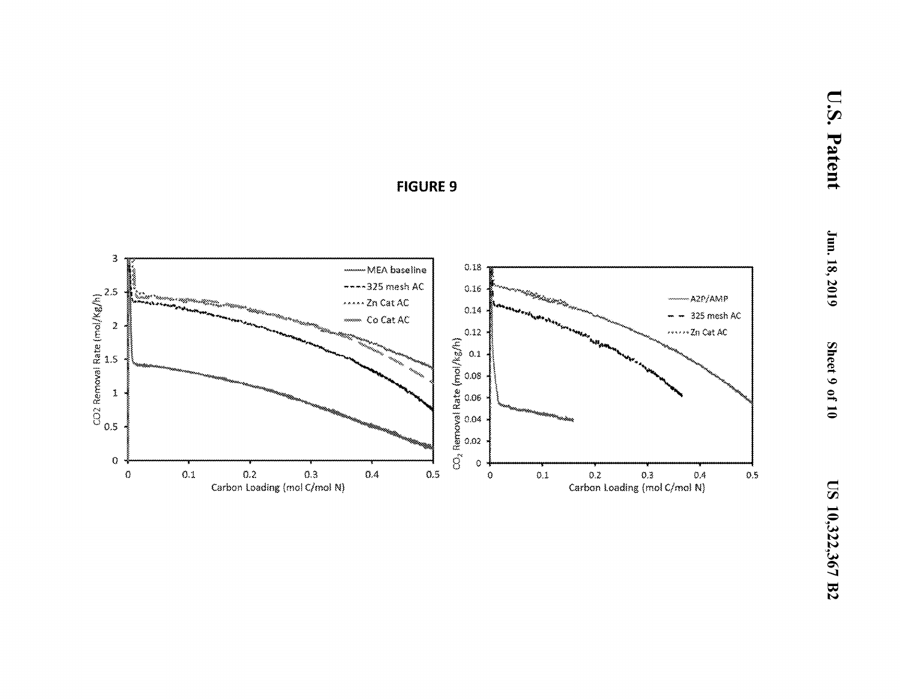

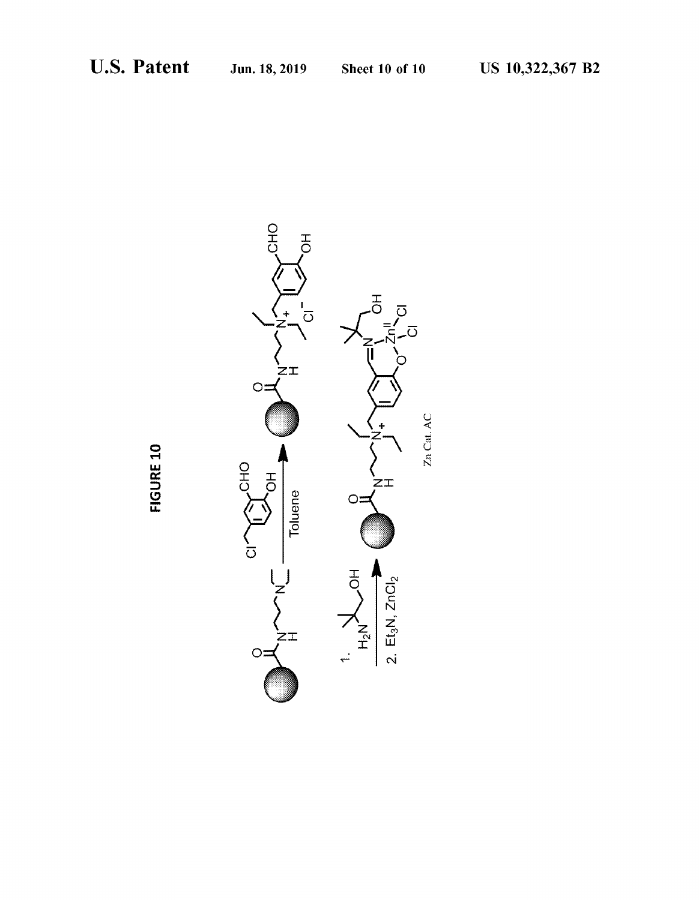

FIGURE 10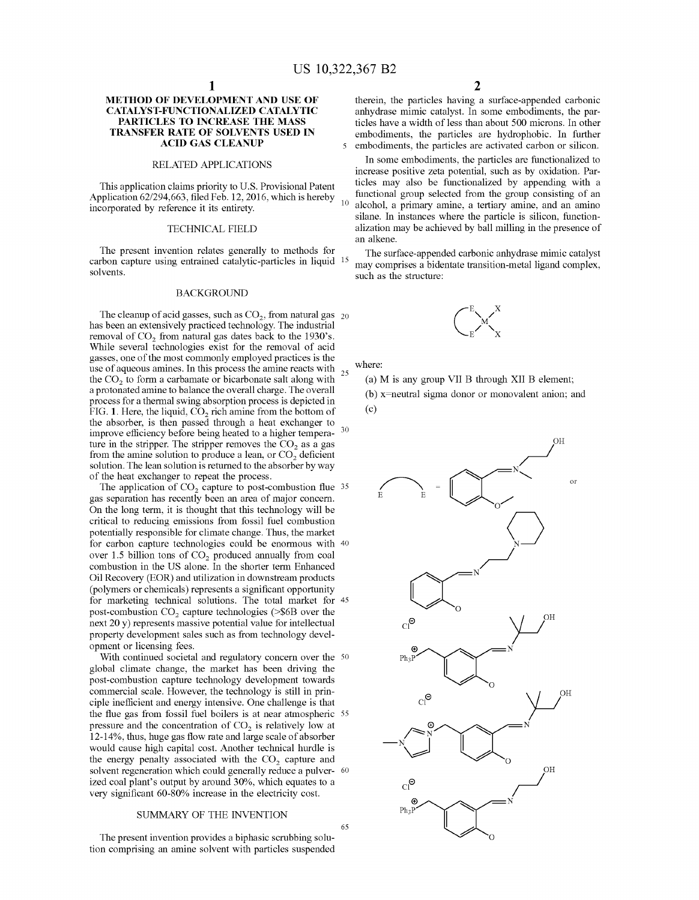## **METHOD OF DEVELOPMENT AND USE OF CATALYST-FUNCTIONALIZED CATALYTIC PARTICLES TO INCREASE THE MASS TRANSFER RATE OF SOLVENTS USED IN**

### RELATED APPLICATIONS

This application claims priority to U.S. Provisional Patent Application 62/294,663, filed Feb. 12, 2016, which is hereby incorporated by reference it its entirety.

#### TECHNICAL FIELD

The present invention relates generally to methods for The surface-appended carbonic anhydrase mimic catalyst carbon capture using entrained catalytic-particles in liquid <sup>15</sup> may comprises a bidentate transition-metal ligand complex,<br>solvents.

#### BACKGROUND

The cleanup of acid gasses, such as  $CO<sub>2</sub>$ , from natural gas  $_{20}$ has been an extensively practiced technology. The industrial removal of CO<sub>2</sub> from natural gas dates back to the 1930's. While several technologies exist for the removal of acid gasses, one of the most commonly employed practices is the use of aqueous amines. In this process the amine reacts with  $25$  the CO<sub>2</sub> to form a carbamate or bicarbonate salt along with a protonated amine to balance the overall charge. The overall process for a thermal swing absorption process is depicted in FIG. 1. Here, the liquid, CO<sub>2</sub> rich amine from the bottom of the absorber, is then passed through a heat exchanger to improve efficiency before being heated to a higher tempera- <sup>30</sup> ture in the stripper. The stripper removes the  $CO<sub>2</sub>$  as a gas from the amine solution to produce a lean, or  $CO<sub>2</sub>$  deficient solution. The lean solution is returned to the absorber by way of the heat exchanger to repeat the process.

The application of  $CO<sub>2</sub>$  capture to post-combustion flue 35 gas separation has recently been an area of major concern. On the long term, it is thought that this technology will be critical to reducing emissions from fossil fuel combustion potentially responsible for climate change. Thus, the market for carbon capture technologies could be enormous with 40 over 1.5 billion tons of  $CO<sub>2</sub>$  produced annually from coal combustion in the US alone. In the shorter term Enhanced Oil Recovery (EOR) and utilization in downstream products (polymers or chemicals) represents a significant opportunity for marketing technical solutions. The total market for 45 post-combustion  $CO<sub>2</sub>$  capture technologies (>\$6B over the next 20 y) represents massive potential value for intellectual property development sales such as from technology development or licensing fees.

With continued societal and regulatory concern over the 50 global climate change, the market has been driving the post-combustion capture technology development towards commercial scale. However, the technology is still in principle inefficient and energy intensive. One challenge is that the flue gas from fossil fuel boilers is at near atmospheric 55 pressure and the concentration of  $CO<sub>2</sub>$  is relatively low at 12-14%, thus, huge gas flow rate and large scale of absorber would cause high capital cost. Another technical hurdle is the energy penalty associated with the  $CO<sub>2</sub>$  capture and solvent regeneration which could generally reduce a pulver- 60 ized coal plant's output by around 30%, which equates to a very significant 60-80% increase in the electricity cost.

#### SUMMARY OF THE INVENTION

The present invention provides a biphasic scrubbing solution comprising an amine solvent with particles suspended

therein, the particles having a surface-appended carbonic anhydrase mimic catalyst. In some embodiments, the particles have a width of less than about 500 microns. In other embodiments, the particles are hydrophobic. In further 5 embodiments, the particles are activated carbon or silicon.

In some embodiments, the particles are functionalized to increase positive zeta potential, such as by oxidation. Particles may also be functionalized by appending with a functional group selected from the group consisting of an alcohol, a primary amine, a tertiary amine, and an amino silane. In instances where the particle is silicon, functionalization may be achieved by ball milling in the presence of an alkene.

such as the structure:



where:

65

(a) Mis any group VII B through XII B element;

(b) x=neutral sigma donor or monovalent anion; and (c)

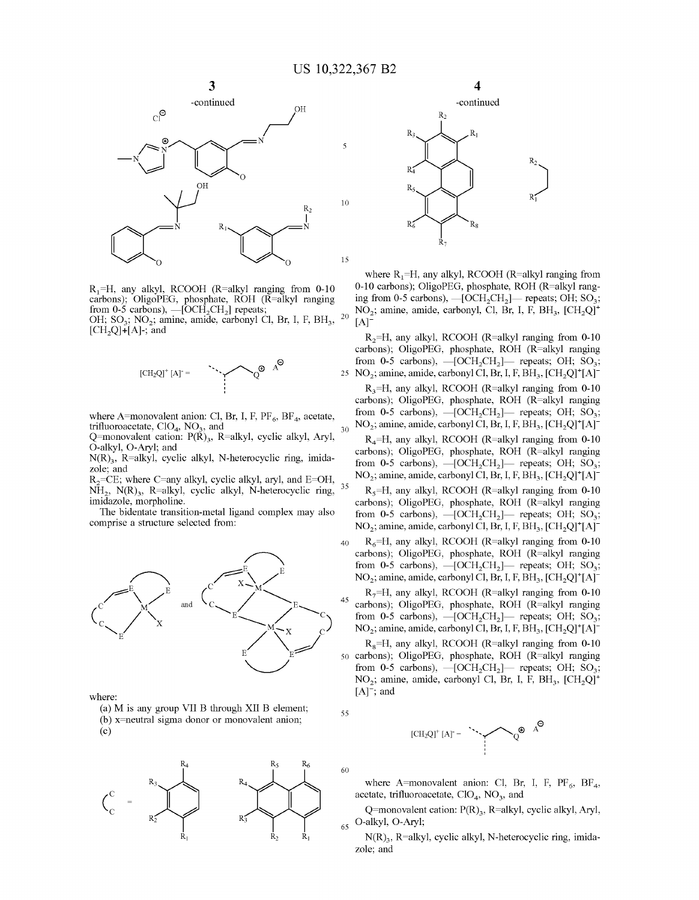

 $R_1=H$ , any alkyl, RCOOH (R=alkyl ranging from 0-10 carbons); OligoPEG, phosphate, ROH (R=alkyl ranging from 0-5 carbons),  $-$ [OCH<sub>2</sub>CH<sub>2</sub>] repeats; OH; SO<sub>3</sub>; NO<sub>2</sub>; amine, amide, carbonyl Cl, Br, I, F, BH<sub>3</sub>,

 $[CH<sub>2</sub>Q]+[A]$ -; and



where A=monovalent anion: Cl, Br, I, F,  $PF_6$ ,  $BF_4$ , acetate, trifluoroacetate,  $CIO<sub>4</sub>$ ,  $NO<sub>3</sub>$ , and

Q=monovalent cation:  $P(\tilde{R})_3$ , R=alkyl, cyclic alkyl, Aryl, O-alkyl, O-Aryl; and

 $N(R)$ <sub>3</sub>, R=alkyl, cyclic alkyl, N-heterocyclic ring, imidazole; and

R<sub>2</sub>=CE; where C=any alkyl, cyclic alkyl, aryl, and E=OH,  $\overline{NH}_2$ , N(R)<sub>3</sub>, R=alkyl, cyclic alkyl, N-heterocyclic ring, imidazole, morpholine.

The bidentate transition-metal ligand complex may also comprise a structure selected from:



where:

(a) Mis any group VII B through XII B element; (b) x=neutral sigma donor or monovalent anion;  $(c)$ 





where  $R_1=H$ , any alkyl, RCOOH (R=alkyl ranging from 0-10 carbons); OligoPEG, phosphate, ROH (R=alkyl ranging from 0-5 carbons),  $-[OCH_2CH_2]$ -repeats; OH; SO<sub>3</sub>;  $NO<sub>2</sub>$ ; amine, amide, carbonyl, Cl, Br, I, F, BH<sub>3</sub>, [CH<sub>2</sub>Q]<sup>+</sup>  $^{20}$  [A]<sup>-</sup>

 $R_2=H$ , any alkyl, RCOOH (R=alkyl ranging from 0-10) carbons); OligoPEG, phosphate, ROH (R=alkyl ranging from 0-5 carbons),  $-[OCH_2CH_2]$ — repeats; OH; SO<sub>3</sub>; 25 NO<sub>2</sub>; amine, amide, carbonyl Cl, Br, I, F, BH<sub>3</sub>, [CH<sub>2</sub>Q]<sup>+</sup>[A]<sup>-</sup>

 $R_3=H$ , any alkyl, RCOOH (R=alkyl ranging from 0-10) carbons); OligoPEG, phosphate, ROH (R=alkyl ranging from 0-5 carbons),  $-[OCH_2CH_2]$ - repeats; OH; SO<sub>3</sub>;  $NO<sub>2</sub>$ ; amine, amide, carbonyl Cl, Br, I, F, BH<sub>3</sub>, [CH<sub>2</sub>Q]<sup>+</sup>[A]<sup>-</sup>

 $R_4$ =H, any alkyl, RCOOH (R=alkyl ranging from 0-10 carbons); OligoPEG, phosphate, ROH (R=alkyl ranging from 0-5 carbons),  $-[OCH_2CH_2]$ — repeats; OH; SO<sub>3</sub>;  $NO<sub>2</sub>$ ; amine, amide, carbonyl Cl, Br, I, F, BH<sub>3</sub>, [CH<sub>2</sub>Q]<sup>+</sup>[A]<sup>-</sup>

 $R<sub>5</sub>=H$ , any alkyl, RCOOH (R=alkyl ranging from 0-10) carbons); OligoPEG, phosphate, ROH (R=alkyl ranging from 0-5 carbons),  $-[OCH_2CH_2]$ - repeats; OH; SO<sub>3</sub>;  $NO<sub>2</sub>$ ; amine, amide, carbonyl Cl, Br, I, F, BH<sub>3</sub>, [CH<sub>2</sub>Q]<sup>+</sup>[A]<sup>-</sup>

 $R_6$ =H, any alkyl, RCOOH (R=alkyl ranging from 0-10 carbons); OligoPEG, phosphate, ROH (R=alkyl ranging from 0-5 carbons),  $-[OCH_2CH_2]$ - repeats; OH; SO<sub>3</sub>;  $NO<sub>2</sub>$ ; amine, amide, carbonyl Cl, Br, I, F, BH<sub>3</sub>, [CH<sub>2</sub>Q]<sup>+</sup>[A]<sup>-</sup>

 $R_7=H$ , any alkyl, RCOOH (R=alkyl ranging from 0-10 carbons); OligoPEG, phosphate, ROH (R=alkyl ranging from 0-5 carbons),  $-[OCH_2CH_2]$ - repeats; OH; SO<sub>3</sub>; NO<sub>2</sub>; amine, amide, carbonyl Cl, Br, I, F, BH<sub>3</sub>, [CH<sub>2</sub>Q]<sup>+</sup>[A]<sup>-</sup>

 $R_s$ =H, any alkyl, RCOOH (R=alkyl ranging from 0-10 50 carbons); OligoPEG, phosphate, ROH (R=alkyl ranging from 0-5 carbons),  $-[OCH_2CH_2]$ - repeats; OH; SO<sub>3</sub>;  $NO<sub>2</sub>$ ; amine, amide, carbonyl Cl, Br, I, F, BH<sub>3</sub>, [CH<sub>2</sub>Q]<sup>+</sup>  $[A]$ ; and





where A=monovalent anion: Cl, Br, I, F,  $PF_6$ , BF<sub>4</sub>, acetate, trifluoroacetate,  $ClO<sub>4</sub>$ ,  $NO<sub>3</sub>$ , and

Q=monovalent cation:  $P(R)_{3}$ , R=alkyl, cyclic alkyl, Aryl, O-alkyl, O-Aryl;

 $N(R)_{3}$ , R=alkyl, cyclic alkyl, N-heterocyclic ring, imidazole; and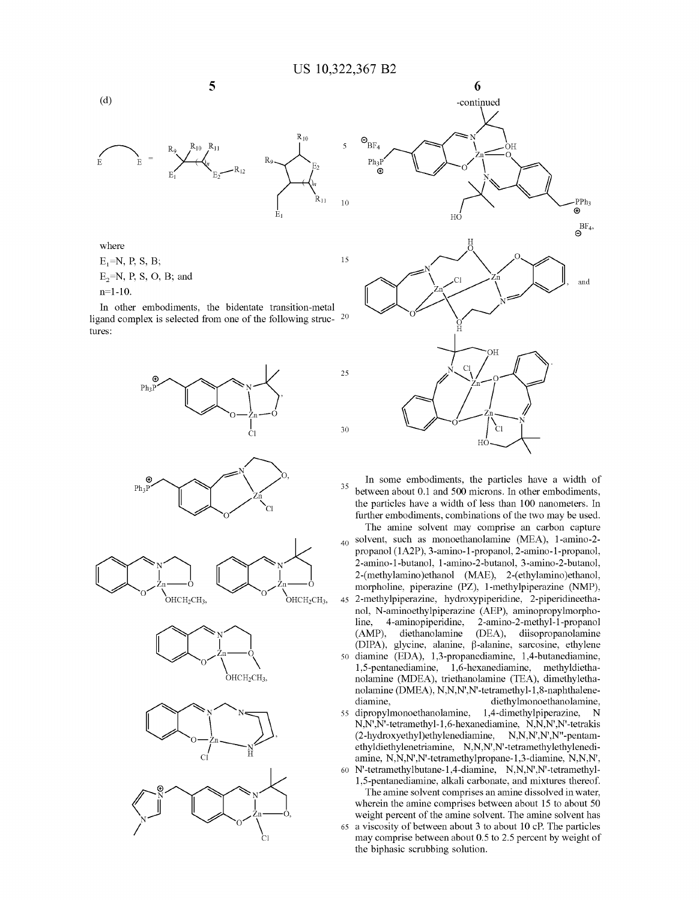

where  $E_1 = N$ , P, S, B;  $E_2=N$ , P, S, O, B; and n=l-10.

In other embodiments, the bidentate transition-metal ligand complex is selected from one of the following struc- <sup>20</sup> tures:





In some embodiments, the particles have a width of 35 between about 0.1 and 500 microns. In other embodiments, the particles have a width of less than 100 nanometers. In further embodiments, combinations of the two may be used.

The amine solvent may comprise an carbon capture  $_{40}$  solvent, such as monoethanolamine (MEA), 1-amino-2propanol (1A2P), 3-amino-1-propanol, 2-amino-1-propanol, 2-amino-1-butanol, l-amino-2-butanol, 3-amino-2-butanol, 2-(methylamino)ethanol (MAE), 2-(ethylamino)ethanol, morpholine, piperazine **(PZ),** 1-methylpiperazine (NMP), 45 2-methylpiperazine, hydroxypiperidine, 2-piperidineethanol, N-aminoethylpiperazine (AEP), aminopropylmorpholine, 4-aminopiperidine, 2-amino-2-methyl-1-propanol (AMP), diethanolamine (DEA), diisopropanolamine (DIPA), glycine, alanine,  $\beta$ -alanine, sarcosine, ethylene 50 diamine (EDA), 1,3-propanediamine, 1,4-butanediamine, 1,5-pentanediamine, 1,6-hexanediamine, methyldiethanolamine (MDEA), triethanolamine (TEA), dimethylethanolamine (DMEA), N,N,N',N'-tetramethyl-1,8-naphthalenediamine, diethylmonoethanolamine, 55 dipropylmonoethanolamine, 1,4-dimethylpiperazine, N N,N',N'-tetramethyl-1,6-hexanediamine, N,N,N',N'-tetrakis (2-hydroxyethyl)ethylenediamine, N,N,N',N',N"-pentamethyldiethylenetriamine, N,N,N',N'-tetramethylethylenediamine, N,N,N',N'-tetramethylpropane-1,3-diamine, N,N,N',

60 N'-tetramethylbutane-1,4-diamine, N,N,N',N'-tetramethyl-1,5-pentanediamine, alkali carbonate, and mixtures thereof.

The amine solvent comprises an amine dissolved in water, wherein the amine comprises between about 15 to about 50 weight percent of the amine solvent. The amine solvent has 65 a viscosity of between about 3 to about 10 cP. The particles may comprise between about 0.5 to 2.5 percent by weight of the biphasic scrubbing solution.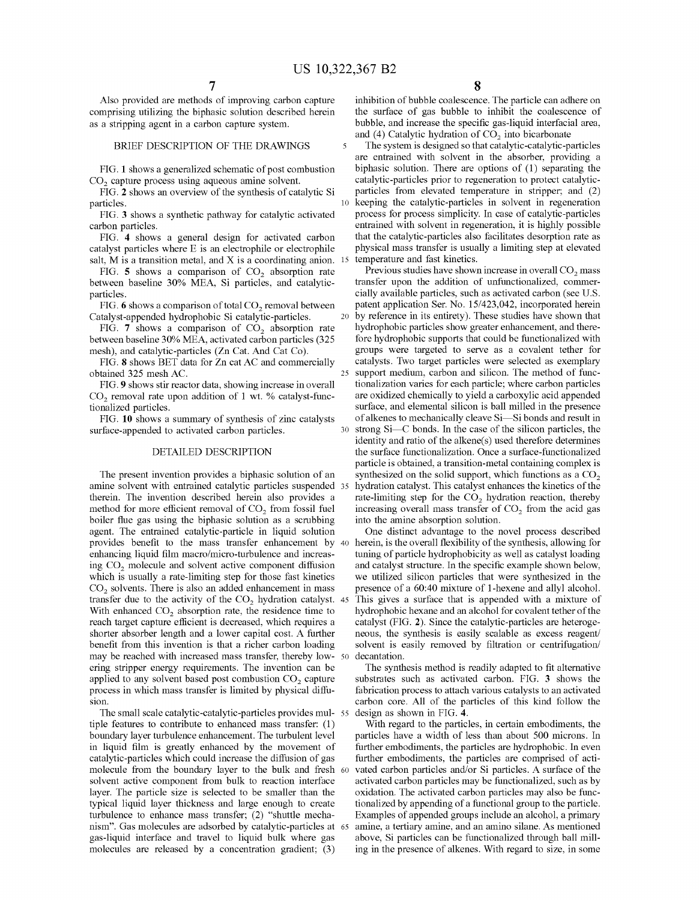Also provided are methods of improving carbon capture comprising utilizing the biphasic solution described herein as a stripping agent in a carbon capture system.

#### BRIEF DESCRIPTION OF THE DRAWINGS

FIG. **1** shows a generalized schematic of post combustion CO<sub>2</sub> capture process using aqueous amine solvent.

FIG. **2** shows an overview of the synthesis of catalytic Si particles.

FIG. **3** shows a synthetic pathway for catalytic activated carbon particles.

FIG. **4** shows a general design for activated carbon catalyst particles where E is an electrophile or electrophile salt, M is a transition metal, and X is a coordinating anion. 15

FIG. **5** shows a comparison of  $CO<sub>2</sub>$  absorption rate between baseline 30% MEA, Si particles, and catalyticparticles.

FIG.  $6$  shows a comparison of total  $CO<sub>2</sub>$  removal between Catalyst-appended hydrophobic Si catalytic-particles.

FIG.  $7$  shows a comparison of  $CO<sub>2</sub>$  absorption rate between baseline 30% MEA, activated carbon particles (325 mesh), and catalytic-particles (Zn Cat. And Cat Co).

FIG. **8** shows BET data for Zn cat AC and commercially obtained 325 mesh AC.

FIG. **9** shows stir reactor data, showing increase in overall  $CO<sub>2</sub>$  removal rate upon addition of 1 wt. % catalyst-functionalized particles.

FIG. **10** shows a summary of synthesis of zinc catalysts surface-appended to activated carbon particles.

#### DETAILED DESCRIPTION

The present invention provides a biphasic solution of an amine solvent with entrained catalytic particles suspended therein. The invention described herein also provides a method for more efficient removal of  $CO<sub>2</sub>$  from fossil fuel boiler flue gas using the biphasic solution as a scrubbing agent. The entrained catalytic-particle in liquid solution provides benefit to the mass transfer enhancement by 40 herein, is the overall flexibility of the synthesis, allowing for enhancing liquid film macro/micro-turbulence and increasing CO<sub>2</sub> molecule and solvent active component diffusion which is usually a rate-limiting step for those fast kinetics  $CO<sub>2</sub>$  solvents. There is also an added enhancement in mass transfer due to the activity of the  $CO<sub>2</sub>$  hydration catalyst. 45 With enhanced  $CO<sub>2</sub>$  absorption rate, the residence time to reach target capture efficient is decreased, which requires a shorter absorber length and a lower capital cost. A further benefit from this invention is that a richer carbon loading may be reached with increased mass transfer, thereby lowering stripper energy requirements. The invention can be applied to any solvent based post combustion  $CO<sub>2</sub>$  capture process in which mass transfer is limited by physical diffusion.

The small scale catalytic-catalytic-particles provides multiple features to contribute to enhanced mass transfer: (1) boundary layer turbulence enhancement. The turbulent level in liquid film is greatly enhanced by the movement of catalytic-particles which could increase the diffusion of gas molecule from the boundary layer to the bulk and fresh solvent active component from bulk to reaction interface layer. The particle size is selected to be smaller than the typical liquid layer thickness and large enough to create turbulence to enhance mass transfer; (2) "shuttle mechanism". Gas molecules are adsorbed by catalytic-particles at gas-liquid interface and travel to liquid bulk where gas molecules are released by a concentration gradient; (3)

inhibition of bubble coalescence. The particle can adhere on the surface of gas bubble to inhibit the coalescence of bubble, and increase the specific gas-liquid interfacial area, and  $(4)$  Catalytic hydration of  $CO<sub>2</sub>$  into bicarbonate

5 The system is designed so that catalytic-catalytic-particles are entrained with solvent in the absorber, providing a biphasic solution. There are options of (1) separating the catalytic-particles prior to regeneration to protect catalyticparticles from elevated temperature in stripper; and (2) 10 keeping the catalytic-particles in solvent in regeneration process for process simplicity. In case of catalytic-particles entrained with solvent in regeneration, it is highly possible that the catalytic-particles also facilitates desorption rate as physical mass transfer is usually a limiting step at elevated temperature and fast kinetics.

Previous studies have shown increase in overall CO<sub>2</sub> mass transfer upon the addition of unfunctionalized, commercially available particles, such as activated carbon (see U.S. patent application Ser. No. 15/423,042, incorporated herein 20 by reference in its entirety). These studies have shown that hydrophobic particles show greater enhancement, and therefore hydrophobic supports that could be functionalized with groups were targeted to serve as a covalent tether for catalysts. Two target particles were selected as exemplary 25 support medium, carbon and silicon. The method of functionalization varies for each particle; where carbon particles are oxidized chemically to yield a carboxylic acid appended surface, and elemental silicon is ball milled in the presence of alkenes to mechanically cleave Si-Si bonds and result in  $30$  strong Si $\equiv$ C bonds. In the case of the silicon particles, the identity and ratio of the alkene(s) used therefore determines the surface functionalization. Once a surface-functionalized particle is obtained, a transition-metal containing complex is synthesized on the solid support, which functions as a  $CO<sub>2</sub>$ hydration catalyst. This catalyst enhances the kinetics of the rate-limiting step for the  $CO<sub>2</sub>$  hydration reaction, thereby increasing overall mass transfer of  $CO<sub>2</sub>$  from the acid gas into the amine absorption solution.

One distinct advantage to the novel process described tuning of particle hydrophobicity as well as catalyst loading and catalyst structure. In the specific example shown below, we utilized silicon particles that were synthesized in the presence of a 60:40 mixture of 1-hexene and allyl alcohol. This gives a surface that is appended with a mixture of hydrophobic hexane and an alcohol for covalent tether of the catalyst (FIG. **2).** Since the catalytic-particles are heterogeneous, the synthesis is easily scalable as excess reagent/ solvent is easily removed by filtration or centrifugation/ decantation.

The synthesis method is readily adapted to fit alternative substrates such as activated carbon. FIG. **3** shows the fabrication process to attach various catalysts to an activated carbon core. All of the particles of this kind follow the design as shown in FIG. 4.

With regard to the particles, in certain embodiments, the particles have a width of less than about 500 microns. In further embodiments, the particles are hydrophobic. In even further embodiments, the particles are comprised of activated carbon particles and/or Si particles. A surface of the activated carbon particles may be functionalized, such as by oxidation. The activated carbon particles may also be functionalized by appending of a functional group to the particle. Examples of appended groups include an alcohol, a primary amine, a tertiary amine, and an amino silane. As mentioned above, Si particles can be functionalized through ball milling in the presence of alkenes. With regard to size, in some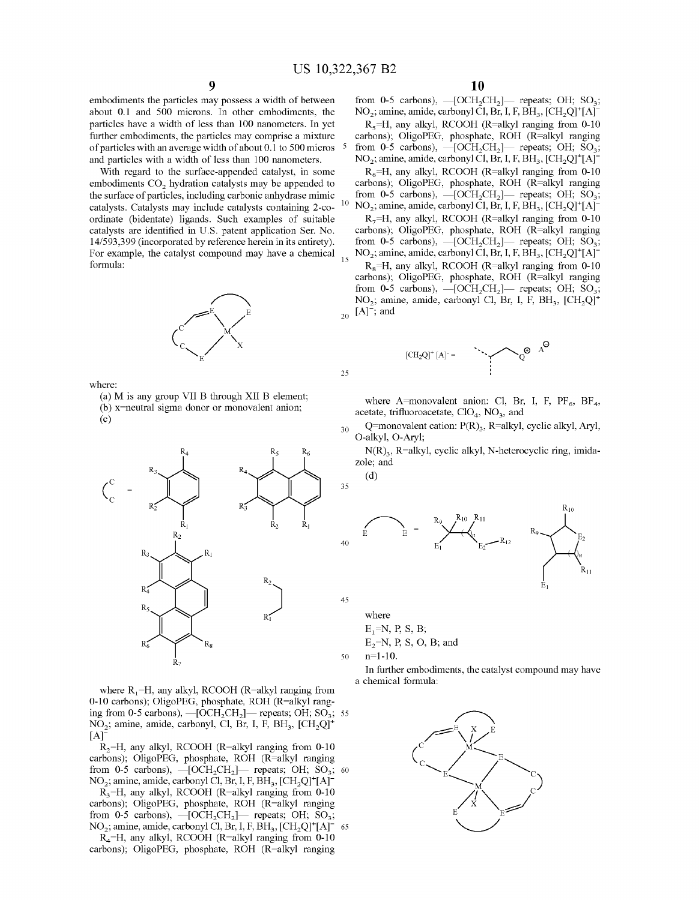embodiments the particles may possess a width of between about 0.1 and 500 microns. In other embodiments, the particles have a width of less than 100 nanometers. In yet further embodiments, the particles may comprise a mixture of particles with an average width of about 0.1 to 500 micros 5 and particles with a width of less than 100 nanometers.

With regard to the surface-appended catalyst, in some embodiments CO<sub>2</sub> hydration catalysts may be appended to the surface of particles, including carbonic anhydrase mimic catalysts. Catalysts may include catalysts containing 2-coordinate (bidentate) ligands. Such examples of suitable catalysts are identified in U.S. patent application Ser. No. 14/593,399 (incorporated by reference herein in its entirety). For example, the catalyst compound may have a chemical 15 formula:

where:

(a) Mis any group VII B through XII B element; (b) x=neutral sigma donor or monovalent anion;  $(c)$ 



where  $R_1=H$ , any alkyl, RCOOH (R=alkyl ranging from 0-10 carbons); OligoPEG, phosphate, ROH (R=alkyl ranging from 0-5 carbons),  $-$ [OCH<sub>2</sub>CH<sub>2</sub>] $-$  repeats; OH; SO<sub>3</sub>; 55 NO<sub>2</sub>; amine, amide, carbonyl, Cl, Br, I, F, BH<sub>3</sub>, [CH<sub>2</sub>Q]<sup>+</sup>  $[A]$ <sup>-</sup>

 $R_2=H$ , any alkyl, RCOOH (R=alkyl ranging from 0-10 carbons); OligoPEG, phosphate, ROH (R=alkyl ranging from 0-5 carbons),  $-[OCH_2CH_2]$ - repeats; OH; SO<sub>3</sub>; 60  $NO<sub>2</sub>$ ; amine, amide, carbonyl Cl, Br, I, F, BH<sub>3</sub>, [CH<sub>2</sub>Q]<sup>+</sup>[A]<sup>-</sup>

 $R_3=H$ , any alkyl, RCOOH (R=alkyl ranging from 0-10 carbons); OligoPEG, phosphate, ROH (R=alkyl ranging from 0-5 carbons),  $-[OCH<sub>2</sub>CH<sub>2</sub>]$ - repeats; OH; SO<sub>3</sub>; NO<sub>2</sub>; amine, amide, carbonyl Cl, Br, I, F, BH<sub>3</sub>, [CH<sub>2</sub>Q]<sup>+</sup>[A]<sup>-</sup>

 $R<sub>4</sub>=H$ , any alkyl, RCOOH (R=alkyl ranging from 0-10 carbons); OligoPEG, phosphate, ROH (R=alkyl ranging

from 0-5 carbons),  $-[OCH<sub>2</sub>CH<sub>2</sub>]$ - repeats; OH; SO<sub>3</sub>;  $NO<sub>2</sub>$ ; amine, amide, carbonyl Cl, Br, I, F, BH<sub>3</sub>, [CH<sub>2</sub>Q]<sup>+</sup>[A]<sup>-</sup>

 $R<sub>5</sub>=H$ , any alkyl, RCOOH (R=alkyl ranging from 0-10 carbons); OligoPEG, phosphate, ROH (R=alkyl ranging from 0-5 carbons),  $-[OCH_2CH_2]$ - repeats; OH; SO<sub>3</sub>;  $NO_2$ ; amine, amide, carbonyl Cl, Br, I, F, BH<sub>3</sub>, [CH<sub>2</sub>Q]<sup>+</sup>[A]<sup>-</sup>

 $R_6$ =H, any alkyl, RCOOH (R=alkyl ranging from 0-10) carbons); OligoPEG, phosphate, ROH (R=alkyl ranging from 0-5 carbons),  $-$ [OCH<sub>2</sub>CH<sub>2</sub>] $-$  repeats; OH; SO<sub>3</sub>;  $NO<sub>2</sub>$ ; amine, amide, carbonyl Cl, Br, I, F, BH<sub>3</sub>, [CH<sub>2</sub>Q]<sup>+</sup>[A]<sup>-</sup>  $R_7$ =H, any alkyl, RCOOH (R=alkyl ranging from 0-10 carbons); OligoPEG, phosphate, ROH (R=alkyl ranging from 0-5 carbons),  $-[OCH_2CH_2]$ — repeats; OH; SO<sub>3</sub>;

 $NO<sub>2</sub>$ ; amine, amide, carbonyl Cl, Br, I, F, BH<sub>3</sub>, [CH<sub>2</sub>Q]<sup>+</sup>[A]<sup>-</sup>  $R_8$ =H, any alkyl, RCOOH (R=alkyl ranging from 0-10 carbons); OligoPEG, phosphate, ROH (R=alkyl ranging from 0-5 carbons),  $-[OCH_2CH_2]$ — repeats; OH; SO<sub>3</sub>;  $NO<sub>2</sub>$ ; amine, amide, carbonyl Cl, Br, I, F, BH<sub>3</sub>, [CH<sub>2</sub>Q]<sup>+</sup>  $_{20}$  [A]<sup>-</sup>; and



where A=monovalent anion: Cl, Br, I, F,  $PF_6$ , BF<sub>4</sub>, acetate, trifluoroacetate,  $ClO<sub>4</sub>$ ,  $NO<sub>3</sub>$ , and

Q=monovalent cation:  $P(R)_{3}$ , R=alkyl, cyclic alkyl, Aryl, O-alkyl, O-Aryl;

 $N(R)$ <sub>3</sub>, R=alkyl, cyclic alkyl, N-heterocyclic ring, imidazole; and

(d)

25

30

35

45



where

 $E_1 = N$ , P, S, B;  $E_2=N$ , P, S, O, B; and

50 n=l-10.

In further embodiments, the catalyst compound may have a chemical formula:

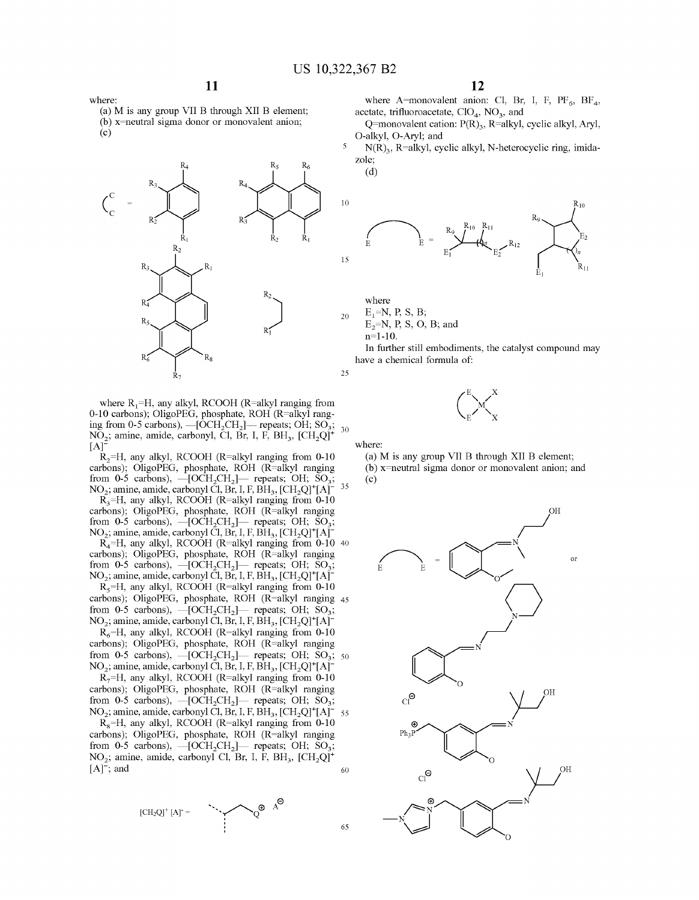(a) Mis any group VII B through XII B element; (b) x=neutral sigma donor or monovalent anion;  $(c)$ 

**11** 



where  $R_1=H$ , any alkyl, RCOOH (R=alkyl ranging from 0-10 carbons); OligoPEG, phosphate, ROH (R=alkyl ranging from 0-5 carbons),  $-[\hat{O}CH_2CH_2]$  repeats; OH; SO<sub>3</sub>; 30 NO<sub>2</sub>; amine, amide, carbonyl, Cl, Br, I, F, BH<sub>3</sub>, [CH<sub>2</sub>Q]<sup>+</sup>  $[A]$ 

 $R_2$ =H, any alkyl, RCOOH (R=alkyl ranging from 0-10 carbons); OligoPEG, phosphate, ROH (R=alkyl ranging from 0-5 carbons),  $-[OCH_2CH_2]$ — repeats; OH;  $SO_3$ ; NO<sub>2</sub>; amine, amide, carbonyl Cl, Br, I, F, BH<sub>3</sub>,  $[CH_2Q]^+ [A]^{-35}$  $R_3$ =H, any alkyl, RCOOH (R=alkyl ranging from 0-10 carbons); OligoPEG, phosphate, ROH (R=alkyl ranging from 0-5 carbons),  $-[OCH_2CH_2]$ - repeats; OH; SO<sub>3</sub>;  $NO<sub>2</sub>$ ; amine, amide, carbonyl Cl, Br, I, F, BH<sub>3</sub>, [CH<sub>2</sub>Q]<sup>+</sup>[A]<sup>-</sup>

R4=H, any alkyl, RCOOH (R=alkyl ranging from 0-10 40 carbons); OligoPEG, phosphate, ROH (R=alkyl ranging from 0-5 carbons),  $-[OCH<sub>2</sub>CH<sub>2</sub>]$ - repeats; OH; SO<sub>3</sub>;  $NO_2$ ; amine, amide, carbonyl Cl, Br, I, F, BH<sub>3</sub>, [CH<sub>2</sub>Q]<sup>+</sup>[A]<sup>-</sup>

 $R_5$ =H, any alkyl, RCOOH (R=alkyl ranging from 0-10 carbons); OligoPEG, phosphate, ROH (R=alkyl ranging 45 from 0-5 carbons),  $-[OCH_2CH_2]$ - repeats; OH; SO<sub>3</sub>;  $NO<sub>2</sub>$ ; amine, amide, carbonyl Cl, Br, I, F, BH<sub>3</sub>, [CH<sub>2</sub>Q]<sup>+</sup>[A]<sup>-</sup>

 $R_6$ =H, any alkyl, RCOOH (R=alkyl ranging from 0-10 carbons); OligoPEG, phosphate, ROH (R=alkyl ranging carbons); OngoPEG, phosphale, ROH (K=alkyl ranging from 0-5 carbons),  $-[OCH_2CH_2]$ - repeats; OH; SO<sub>3</sub>; 50  $NO<sub>2</sub>$ ; amine, amide, carbonyl Cl, Br, I, F, BH<sub>3</sub>, [CH<sub>2</sub>Q]<sup>+</sup>[A]<sup>-</sup>

 $R_7=H$ , any alkyl, RCOOH (R=alkyl ranging from 0-10 carbons); OligoPEG, phosphate, ROH (R=alkyl ranging from 0-5 carbons),  $-[OCH_2CH_2]$ — repeats; OH; SO<sub>3</sub>;  $NO<sub>2</sub>$ ; amine, amide, carbonyl Cl, Br, I, F, BH<sub>3</sub>, [CH<sub>2</sub>Q]<sup>+</sup>[A]<sup>-</sup> 55

 $R<sub>8</sub>=H$ , any alkyl, RCOOH (R=alkyl ranging from 0-10 carbons); OligoPEG, phosphate, ROH (R=alkyl ranging from 0-5 carbons),  $-[OCH_2CH_2]$ — repeats; OH; SO<sub>3</sub>; NO<sub>2</sub>; amine, amide, carbonyl Cl, Br, I, F, BH<sub>3</sub>, [CH<sub>2</sub>Q]<sup>+</sup>  $[A]$ ; and 60

 $[CH_2Q]^+[A] =$ 



**12** 

where A=monovalent anion: Cl, Br, I, F,  $PF_6$ , BF<sub>4</sub>, acetate, trifluoroacetate,  $ClO<sub>4</sub>$ ,  $NO<sub>3</sub>$ , and

Q=monovalent cation:  $P(R)_{3}$ , R=alkyl, cyclic alkyl, Aryl, O-alkyl, O-Aryl; and

 $N(R)$ <sub>3</sub>, R=alkyl, cyclic alkyl, N-heterocyclic ring, imidazole;

(d)



where  $E_1 = N$ , P, S, B;  $E_2=N$ , P, S, O, B; and n=l-10.

In further still embodiments, the catalyst compound may have a chemical formula of:



where:

65

(a) Mis any group VII B through XII B element; (b) x=neutral sigma donor or monovalent anion; and (c)



where: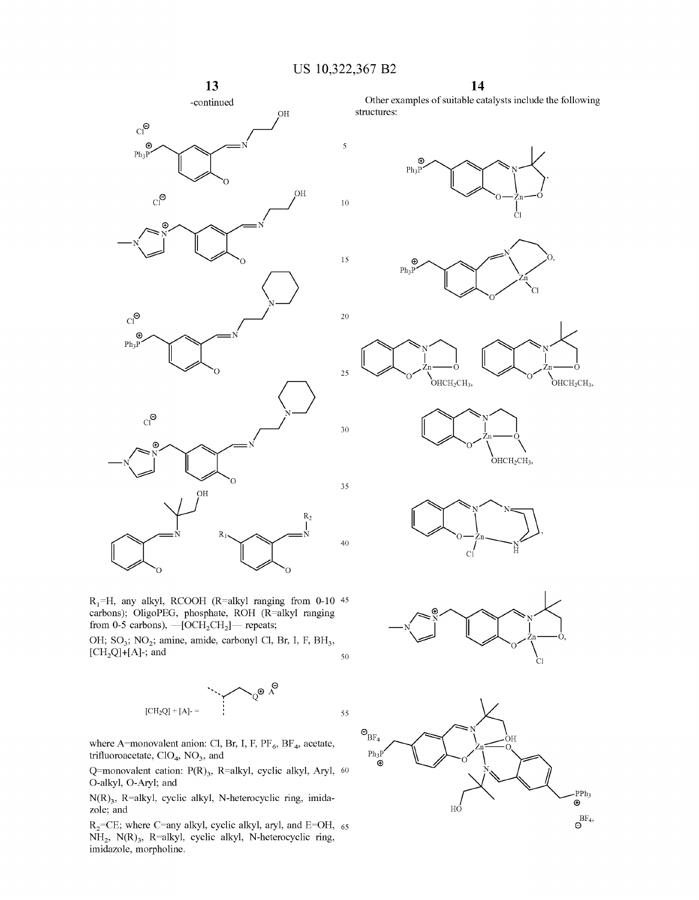30

35

40

-continued *c*<sup>o</sup> *c*<sup>oH</sup>  $\overrightarrow{P_{h_3}P}$   $\overrightarrow{P_{h_3}P}$   $\overrightarrow{N}$  $\overline{\mathbf{5}}$  $\mathbb{C}$   $\mathbb{C}$  $O<sub>H</sub>$ 10

 $\left\langle \bigcap_{N\in\mathbb{N}}\right\rangle$ 



Other examples of suitable catalysts include the following structures:















 $\bigvee$  /  $\bigwedge^{\text{9H}}$  $R_2$  $\bigcap \bigcap^{k}$  $\, {\bf R}$ 

 $~\begin{picture}(100,10) \put(15,10){\line(1,0){155}} \put(15,10){\line(1,0){155}} \put(15,10){\line(1,0){155}} \put(15,10){\line(1,0){155}} \put(15,10){\line(1,0){155}} \put(15,10){\line(1,0){155}} \put(15,10){\line(1,0){155}} \put(15,10){\line(1,0){155}} \put(15,10){\line(1,0){155}} \put(15,10){\line(1,0){155}} \put(15,1$ 

 $\begin{array}{cc} -\mathbf{N} & \mathbf{N} \end{array}$ 

 $Cl^{\Theta}$ 

 $\mathrm{Cl}^\mathsf{O}$  $\odot$  $Ph_3P$ 

 $R_1$ =H, any alkyl, RCOOH (R=alkyl ranging from 0-10 45 carbons); OligoPEG, phosphate, ROH (R=alkyl ranging from 0-5 carbons),  $-$ [OCH<sub>2</sub>CH<sub>2</sub>] $-$  repeats;

OH; SO<sub>3</sub>; NO<sub>2</sub>; amine, amide, carbonyl Cl, Br, I, F, BH<sub>3</sub>,  $[CH<sub>2</sub>Q]+[A]$ -; and 50



where A=monovalent anion: Cl, Br, I, F,  $PF_6$ , BF<sub>4</sub>, acetate, trifluoroacetate,  $CIO<sub>4</sub>$ ,  $NO<sub>3</sub>$ , and

Q=monovalent cation:  $P(R)_{3}$ , R=alkyl, cyclic alkyl, Aryl, 60 O-alkyl, O-Aryl; and

 $N(R)_{3}$ , R=alkyl, cyclic alkyl, N-heterocyclic ring, imidazole; and

 $R<sub>2</sub>=CE$ ; where C=any alkyl, cyclic alkyl, aryl, and E=OH, 65 NH<sub>2</sub>, N(R)<sub>3</sub>, R=alkyl, cyclic alkyl, N-heterocyclic ring, imidazole, morpholine.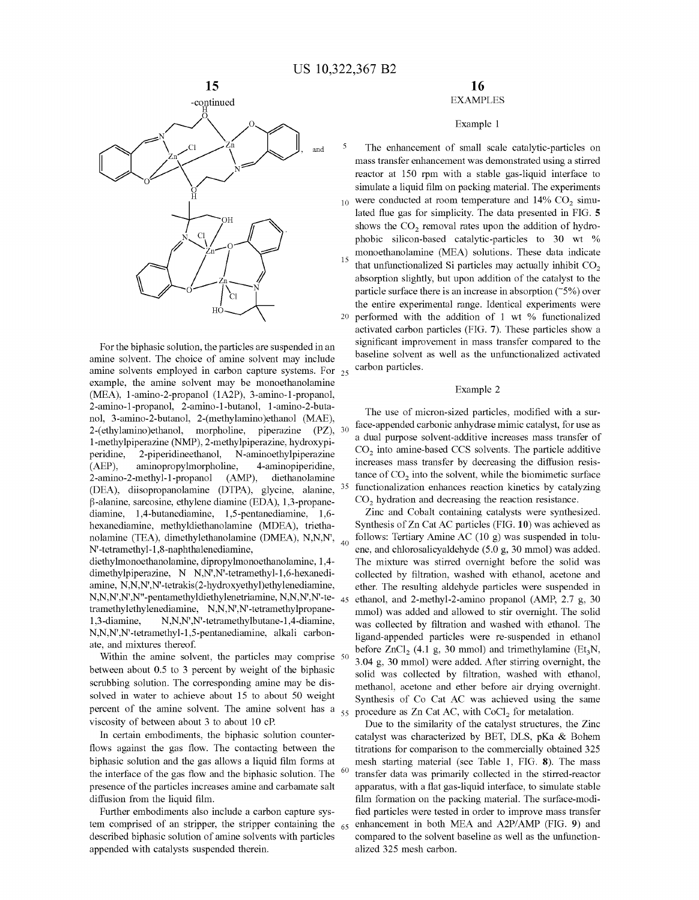

For the biphasic solution, the particles are suspended in an amine solvent. The choice of amine solvent may include amine solvents employed in carbon capture systems. For 25 example, the amine solvent may be monoethanolamine (MEA), l-amino-2-propanol (1A2P), 3-amino-1-propanol, 2-amino-1-propanol, 2-amino-1-butanol, l-amino-2-butanol, 3-amino-2-butanol, 2-(methylamino )ethanol (MAE), 2-( ethylamino )ethanol, morpholine, piperazine **(PZ),**  1-methylpiperazine (NMP), 2-methylpiperazine, hydroxypiperidine, 2-piperidineethanol, N-aminoethylpiperazine (AEP), aminopropylmorpholine, 4-aminopiperidine, 2-amino-2-methyl-1-propanol (AMP), diethanolamine (DEA), diisopropanolamine (DTPA), glycine, alanine,  $\beta$ -alanine, sarcosine, ethylene diamine (EDA), 1,3-propanediamine, 1,4-butanediamine, 1,5-pentanediamine, 1,6 hexanediamine, methyldiethanolamine (MDEA), triethanolamine (TEA), dimethylethanolamine (DMEA), N,N,N', 40 N'-tetramethyl-1,8-naphthalenediamine, diethylmonoethanolamine, dipropylmonoethanolamine, 1,4-

dimethylpiperazine, N N,N',N'-tetramethyl-1,6-hexanediamine, N,N,N',N'-tetrakis(2-hydroxyethyl)ethylenediamine, N,N,N',N',N"-pentamethyldiethylenetriamine, N,N,N',N'-te- <sup>45</sup> tramethylethylenediamine, N,N,N',N'-tetramethylpropane-1,3-diamine, N,N,N',N'-tetramethylbutane-1,4-diamine, N,N,N',N'-tetramethyl-1,5-pentanediamine, alkali carbonate, and mixtures thereof.

Within the amine solvent, the particles may comprise 50 between about 0.5 to 3 percent by weight of the biphasic scrubbing solution. The corresponding amine may be dissolved in water to achieve about 15 to about 50 weight percent of the amine solvent. The amine solvent has a  $_{55}$ viscosity of between about 3 to about 10 cP.

In certain embodiments, the biphasic solution counterflows against the gas flow. The contacting between the biphasic solution and the gas allows a liquid film forms at the interface of the gas flow and the biphasic solution. The presence of the particles increases amine and carbamate salt diffusion from the liquid film.

Further embodiments also include a carbon capture system comprised of an stripper, the stripper containing the  $65$ described biphasic solution of amine solvents with particles appended with catalysts suspended therein.

## **16**  EXAMPLES

#### Example 1

The enhancement of small scale catalytic-particles on mass transfer enhancement was demonstrated using a stirred reactor at 150 rpm with a stable gas-liquid interface to simulate a liquid film on packing material. The experiments  $10$  were conducted at room temperature and 14% CO<sub>2</sub> simulated flue gas for simplicity. The data presented in FIG. **5**  shows the  $CO<sub>2</sub>$  removal rates upon the addition of hydrophobic silicon-based catalytic-particles to 30 wt % monoethanolamine (MEA) solutions. These data indicate that unfunctionalized Si particles may actually inhibit  $CO<sub>2</sub>$ absorption slightly, but upon addition of the catalyst to the particle surface there is an increase in absorption  $(5\%)$  over the entire experimental range. Identical experiments were 20 performed with the addition of 1 wt % functionalized activated carbon particles (FIG. 7). These particles show a significant improvement in mass transfer compared to the baseline solvent as well as the unfunctionalized activated carbon particles.

#### Example 2

The use of micron-sized particles, modified with a surface-appended carbonic anhydrase mimic catalyst, for use as a dual purpose solvent-additive increases mass transfer of CO<sub>2</sub> into amine-based CCS solvents. The particle additive increases mass transfer by decreasing the diffusion resistance of  $CO<sub>2</sub>$  into the solvent, while the biomimetic surface functionalization enhances reaction kinetics by catalyzing CO<sub>2</sub> hydration and decreasing the reaction resistance.

Zinc and Cobalt containing catalysts were synthesized. Synthesis of Zn Cat AC particles (FIG. **10)** was achieved as follows: Tertiary Amine AC (10 g) was suspended in toluene, and chlorosalicyaldehyde (5.0 g, 30 mmol) was added. The mixture was stirred overnight before the solid was collected by filtration, washed with ethanol, acetone and ether. The resulting aldehyde particles were suspended in ethanol, and 2-methyl-2-amino propanol (AMP, 2.7 g, 30 mmol) was added and allowed to stir overnight. The solid was collected by filtration and washed with ethanol. The ligand-appended particles were re-suspended in ethanol before  $ZnCl_2$  (4.1 g, 30 mmol) and trimethylamine (Et<sub>3</sub>N, 3.04 g, 30 mmol) were added. After stirring overnight, the solid was collected by filtration, washed with ethanol, methanol, acetone and ether before air drying overnight. Synthesis of Co Cat AC was achieved using the same procedure as Zn Cat AC, with CoCl<sub>2</sub> for metalation.

Due to the similarity of the catalyst structures, the Zinc catalyst was characterized by BET, DLS, pKa & Bohem titrations for comparison to the commercially obtained 325 mesh starting material (see Table 1, FIG. **8).** The mass transfer data was primarily collected in the stirred-reactor apparatus, with a flat gas-liquid interface, to simulate stable film formation on the packing material. The surface-modified particles were tested in order to improve mass transfer 65 enhancement in both MEA and A2P/AMP (FIG. **9)** and compared to the solvent baseline as well as the unfunctionalized 325 mesh carbon.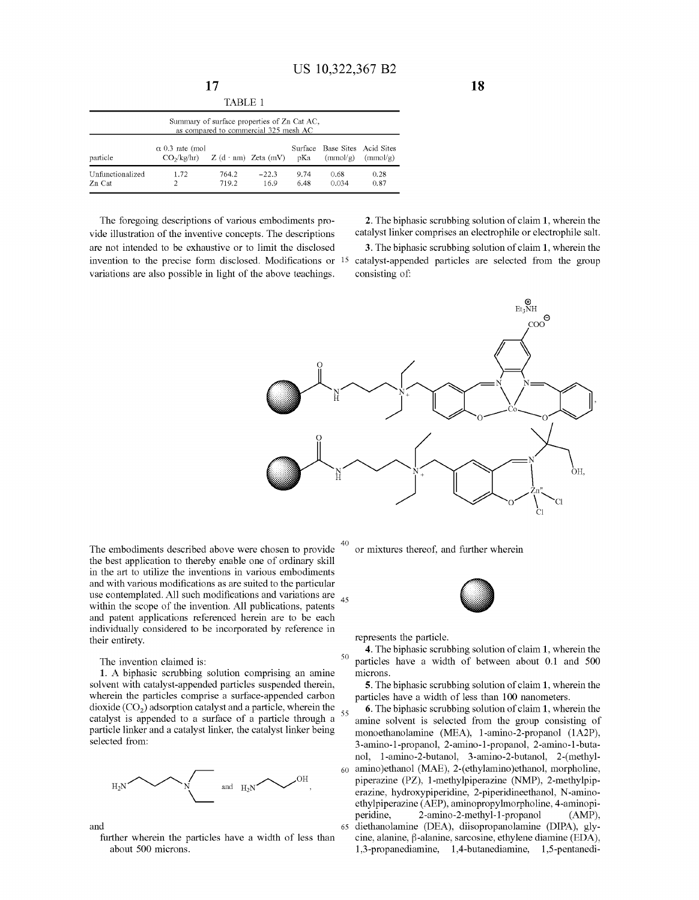| TABLE 1                                                                              |                                                  |                |                            |              |                                           |              |
|--------------------------------------------------------------------------------------|--------------------------------------------------|----------------|----------------------------|--------------|-------------------------------------------|--------------|
| Summary of surface properties of Zn Cat AC,<br>as compared to commercial 325 mesh AC |                                                  |                |                            |              |                                           |              |
| particle                                                                             | $\alpha$ 0.3 rate (mol<br>CO <sub>2</sub> /kg/hr |                | $Z$ (d · nm) Zeta (mV) pKa |              | Surface Base Sites Acid Sites<br>(mmol/g) | (mmol/g)     |
| Unfinctionalized<br>Zn Cat                                                           | 1.72                                             | 764.2<br>719.2 | $-22.3$<br>16.9            | 9.74<br>6.48 | 0.68<br>0.034                             | 0.28<br>0.87 |

The foregoing descriptions of various embodiments provide illustration of the inventive concepts. The descriptions are not intended to be exhaustive or to limit the disclosed **3.** The biphasic scrubbing solution of claim **1,** wherein the invention to the precise form disclosed. Modifications or 15 catalyst-appended particles are selected from the group variations are also possible in light of the above teachings. consisting of:

**17** 

**2.** The biphasic scrubbing solution of claim **1,** wherein the catalyst linker comprises an electrophile or electrophile salt.



The embodiments described above were chosen to provide the best application to thereby enable one of ordinary skill in the art to utilize the inventions in various embodiments and with various modifications as are suited to the particular use contemplated. All such modifications and variations are  $_{45}$  within the scope of the invention. All publications, patents and patent applications referenced herein are to be each individually considered to be incorporated by reference in their entirety.

1. A biphasic scrubbing solution comprising an amine solvent with catalyst-appended particles suspended therein, wherein the particles comprise a surface-appended carbon dioxide ( $CO<sub>2</sub>$ ) adsorption catalyst and a particle, wherein the catalyst is appended to a surface of a particle through a  $55$ particle linker and a catalyst linker, the catalyst linker being selected from:



and

further wherein the particles have a width of less than about 500 microns.

or mixtures thereof, and further wherein



represents the particle.

**4.** The biphasic scrubbing solution of claim 1, wherein the 50 The invention claimed is: **particles** have a width of between about 0.1 and 500 microns.

> **5.** The biphasic scrubbing solution of claim **1,** wherein the particles have a width of less than 100 nanometers.

**6.** The biphasic scrubbing solution of claim **1,** wherein the amine solvent is selected from the group consisting of monoethanolamine (MEA), l-amino-2-propanol (1A2P), 3-amino-1-propanol, 2-amino-1-propanol, 2-amino-1-butanol, l-amino-2-butanol, 3-amino-2-butanol, 2-(methyl-60 amino )ethanol (MAE), 2-( ethylamino )ethanol, morpholine, piperazine **(PZ),** 1-methylpiperazine (NMP), 2-methylpiperazine, hydroxypiperidine, 2-piperidineethanol, N-aminoethylpiperazine (AEP), aminopropylmorpholine, 4-aminopi-<br>peridine, 2-amino-2-methyl-1-propanol (AMP), 2-amino-2-methyl-1-propanol (AMP), 65 diethanolamine (DEA), diisopropanolamine (DIPA), gly $cine$ , alanine,  $\beta$ -alanine, sarcosine, ethylene diamine (EDA), 1,3-propanediamine, 1,4-butanediamine, 1,5-pentanedi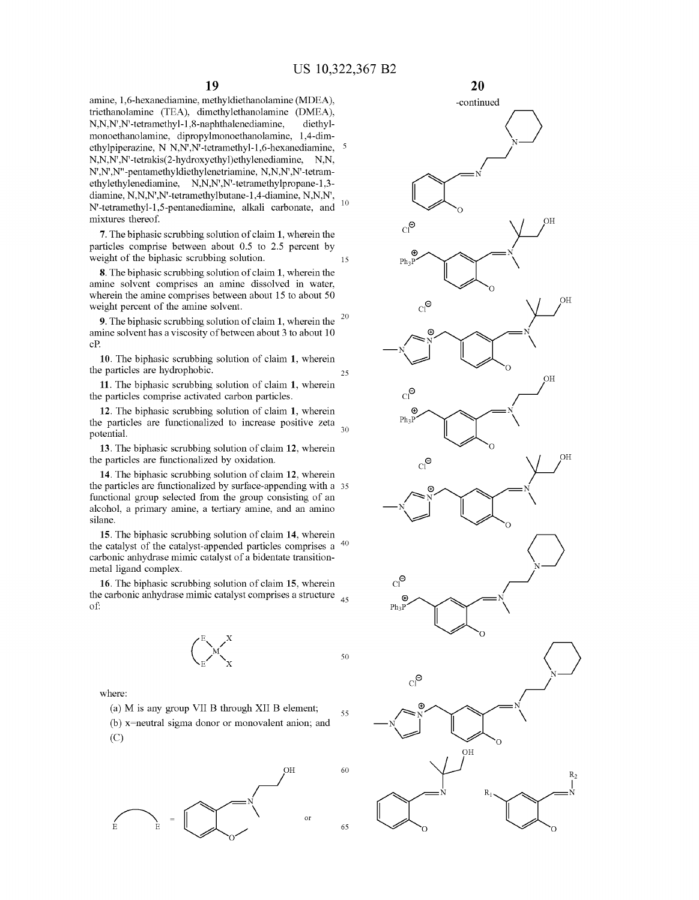amine, 1,6-hexanediamine, methyldiethanolamine (MDEA), triethanolamine (TEA), dimethylethanolamine (DMEA), N,N,N' ,N'-tetramethyl-1,8-naphthalenediamine, diethylmonoethanolamine, dipropylmonoethanolamine, 1,4-dimethylpiperazine, N N,N',N'-tetramethyl-1,6-hexanediamine, N,N,N',N'-tetrakis(2-hydroxyethyl)ethylenediamine, N,N, N' ,N' ,N" -pentamethy ldiethy lenetriamine, N,N,N' ,N'-tetramethylethylenediamine, N,N,N',N'-tetramethylpropane-1,3diamine, N,N,N',N'-tetramethylbutane-1,4-diamine, N,N,N', N'-tetramethyl-1,5-pentanediamine, alkali carbonate, and <sup>10</sup> mixtures thereof.

**7.** The biphasic scrubbing solution of claim **1,** wherein the particles comprise between about 0.5 to 2.5 percent by weight of the biphasic scrubbing solution. 15

**8.** The biphasic scrubbing solution of claim **1,** wherein the amine solvent comprises an amine dissolved in water, wherein the amine comprises between about 15 to about 50 weight percent of the amine solvent.

<sup>20</sup>**9.** The biphasic scrubbing solution of claim **1,** wherein the amine solvent has a viscosity of between about 3 to about 10 cP.

**10.** The biphasic scrubbing solution of claim **1,** wherein the particles are hydrophobic. 25

**11.** The biphasic scrubbing solution of claim **1,** wherein the particles comprise activated carbon particles.

**12.** The biphasic scrubbing solution of claim **1,** wherein the particles are functionalized to increase positive zeta potential.

**13.** The biphasic scrubbing solution of claim **12,** wherein the particles are functionalized by oxidation.

**14.** The biphasic scrubbing solution of claim **12,** wherein the particles are functionalized by surface-appending with a 35 functional group selected from the group consisting of an alcohol, a primary amine, a tertiary amine, and an amino silane.

**15.** The biphasic scrubbing solution of claim **14,** wherein the catalyst of the catalyst-appended particles comprises a <sup>40</sup> carbonic anhydrase mimic catalyst of a bidentate transitionmetal ligand complex.

**16.** The biphasic scrubbing solution of claim **15,** wherein the carbonic anhydrase mimic catalyst comprises a structure 45 of:



50

where:

(a) M is any group VII B through XII B element; (b) x=neutral sigma donor or monovalent anion; and (C) 55



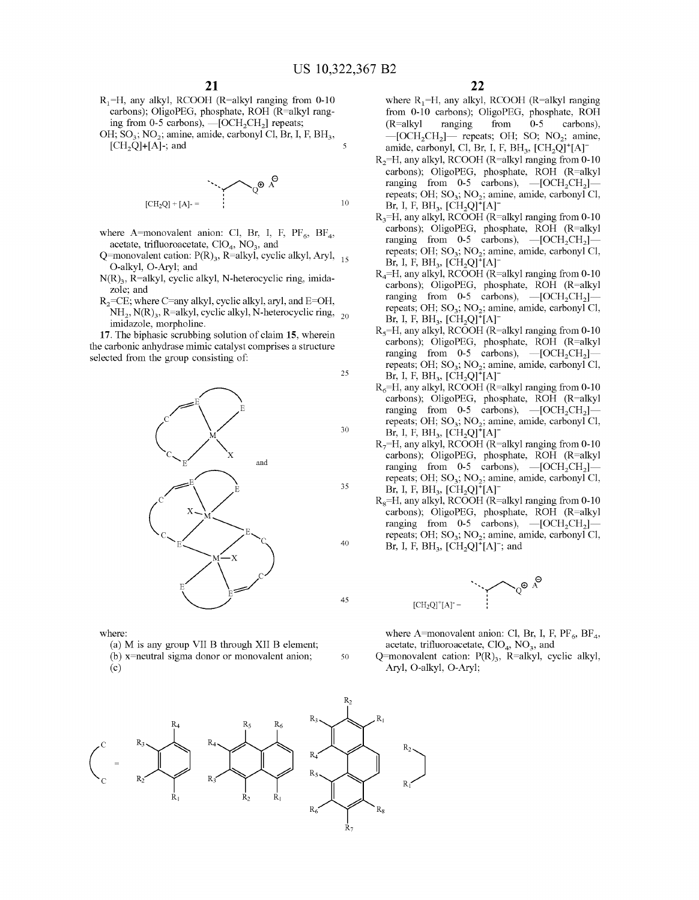- $R_1=H$ , any alkyl, RCOOH (R=alkyl ranging from 0-10) carbons); OligoPEG, phosphate, ROH (R=alkyl ranging from 0-5 carbons),  $-$ [OCH<sub>2</sub>CH<sub>2</sub>] repeats; OH;  $SO_3$ ;  $NO_2$ ; amine, amide, carbonyl Cl, Br, I, F, BH<sub>3</sub>,
- $[CH<sub>2</sub>Q]+[A]$ -; and 5

$$
\begin{array}{ccc}\n & \ddots & \ddots & \ddots & \mathbb{R}^{B} \\
\text{[CH}_2\text{Q}] + [\text{A}] - & & & \\
 & & & \\
 & & & & \\
\end{array}
$$

- where A=monovalent anion: Cl, Br, I, F,  $PF_6$ , BF<sub>4</sub>, acetate, trifluoroacetate, ClO<sub>4</sub>, NO<sub>3</sub>, and
- Q=monovalent cation:  $P(R)_{3}$ , R=alkyl, cyclic alkyl, Aryl,  $_{15}$ O-alkyl, O-Aryl; and
- $N(R)$ <sub>3</sub>, R=alkyl, cyclic alkyl, N-heterocyclic ring, imidazole; and
- $R_2$ =CE; where C=any alkyl, cyclic alkyl, aryl, and E=OH,  $NH_2$ , N(R)<sub>3</sub>, R=alkyl, cyclic alkyl, N-heterocyclic ring, <sub>20</sub> imidazole, morpholine.

**17.** The biphasic scrubbing solution of claim **15,** wherein the carbonic anhydrase mimic catalyst comprises a structure selected from the group consisting of:



where:

- (a) M is any group VII B through XII B element;
- (b) x=neutral sigma donor or monovalent anion;

(c)

where  $R_1$ =H, any alkyl, RCOOH (R=alkyl ranging from 0-10 carbons); OligoPEG, phosphate, ROH (R=alkyl ranging from 0-5 carbons),  $-$ [OCH<sub>2</sub>CH<sub>2</sub>] $-$  repeats; OH; SO; NO<sub>2</sub>; amine, amide, carbonyl, Cl, Br, I, F, BH<sub>3</sub>,  $[CH<sub>2</sub>Q]<sup>+</sup>[A]<sup>-</sup>$ 

- R<sub>2</sub>=H, any alkyl, RCOOH (R=alkyl ranging from 0-10 carbons); OligoPEG, phosphate, ROH (R=alkyl ranging from 0-5 carbons),  $-[OCH_2CH_2]$ repeats; OH; SO<sub>3</sub>; NO<sub>2</sub>; amine, amide, carbonyl Cl, Br, I, F,  $BH_3$ ,  $[CH_2Q]^+[A]$
- $R_3=H$ , any alkyl, RCOOH (R=alkyl ranging from 0-10 carbons); OligoPEG, phosphate, ROH (R=alkyl ranging from  $0-5$  carbons),  $-[OCH_2CH_2]$ repeats; OH;  $SO_3$ ;  $NO_2$ ; amine, amide, carbonyl Cl, Br, I, F, BH<sub>3</sub>,  $[CH_2Q]^+ [A]^-$
- $R<sub>4</sub>=H$ , any alkyl, RCOOH (R=alkyl ranging from 0-10 carbons); OligoPEG, phosphate, ROH (R=alkyl ranging from 0-5 carbons),  $-[OCH<sub>2</sub>CH<sub>2</sub>]$ repeats; OH;  $SO_3$ ; NO<sub>2</sub>; amine, amide, carbonyl Cl, Br, I, F,  $BH_3$ ,  $[CH_2Q]^+[A]$
- $R<sub>5</sub>=H$ , any alkyl, RCOOH (R=alkyl ranging from 0-10 carbons); OligoPEG, phosphate, ROH (R=alkyl ranging from 0-5 carbons),  $-\text{[OCH}_2\text{CH}_2\text{]}$ repeats; OH;  $SO<sub>3</sub>$ ; NO<sub>2</sub>; amine, amide, carbonyl Cl, Br, I, F, BH<sub>3</sub>,  $[CH_2Q]^+[A]$ <sup>-</sup>
- $R_6$ =H, any alkyl, RCOOH (R=alkyl ranging from 0-10 carbons); OligoPEG, phosphate, ROH (R=alkyl ranging from 0-5 carbons),  $-[OCH_2CH_2]$ repeats; OH;  $SO_3$ ; NO<sub>2</sub>; amine, amide, carbonyl Cl,  $\rm Br, I, F, BH_3, [CH_2Q]^+[A]$
- $R_7$ =H, any alkyl, RCOOH (R=alkyl ranging from 0-10 carbons); OligoPEG, phosphate, ROH (R=alkyl ranging from 0-5 carbons),  $-[OCH<sub>2</sub>CH<sub>2</sub>]$ repeats; OH;  $SO<sub>2</sub>$ ; NO<sub>2</sub>; amine, amide, carbonyl Cl, Br, I, F, BH<sub>3</sub>,  $[CH<sub>2</sub>Q]<sup>+</sup>[A]<sup>-</sup>$
- $R_8$ =H, any alkyl, RCOOH (R=alkyl ranging from 0-10 carbons); OligoPEG, phosphate, ROH (R=alkyl ranging from 0-5 carbons),  $-[OCH<sub>2</sub>CH<sub>2</sub>]$ repeats; OH;  $SO_3$ ; NO<sub>2</sub>; amine, amide, carbonyl Cl, Br, I, F, BH<sub>3</sub>, [CH<sub>2</sub>Q]<sup>+</sup>[A]<sup>-</sup>; and



where A=monovalent anion: Cl, Br, I, F,  $PF_6$ , BF<sub>4</sub>, acetate, trifluoroacetate,  $ClO<sub>4</sub>$ ,  $NO<sub>3</sub>$ , and

Q=monovalent cation:  $P(R)_{3}$ , R=alkyl, cyclic alkyl, Ary!, O-alkyl, O-Aryl;



50